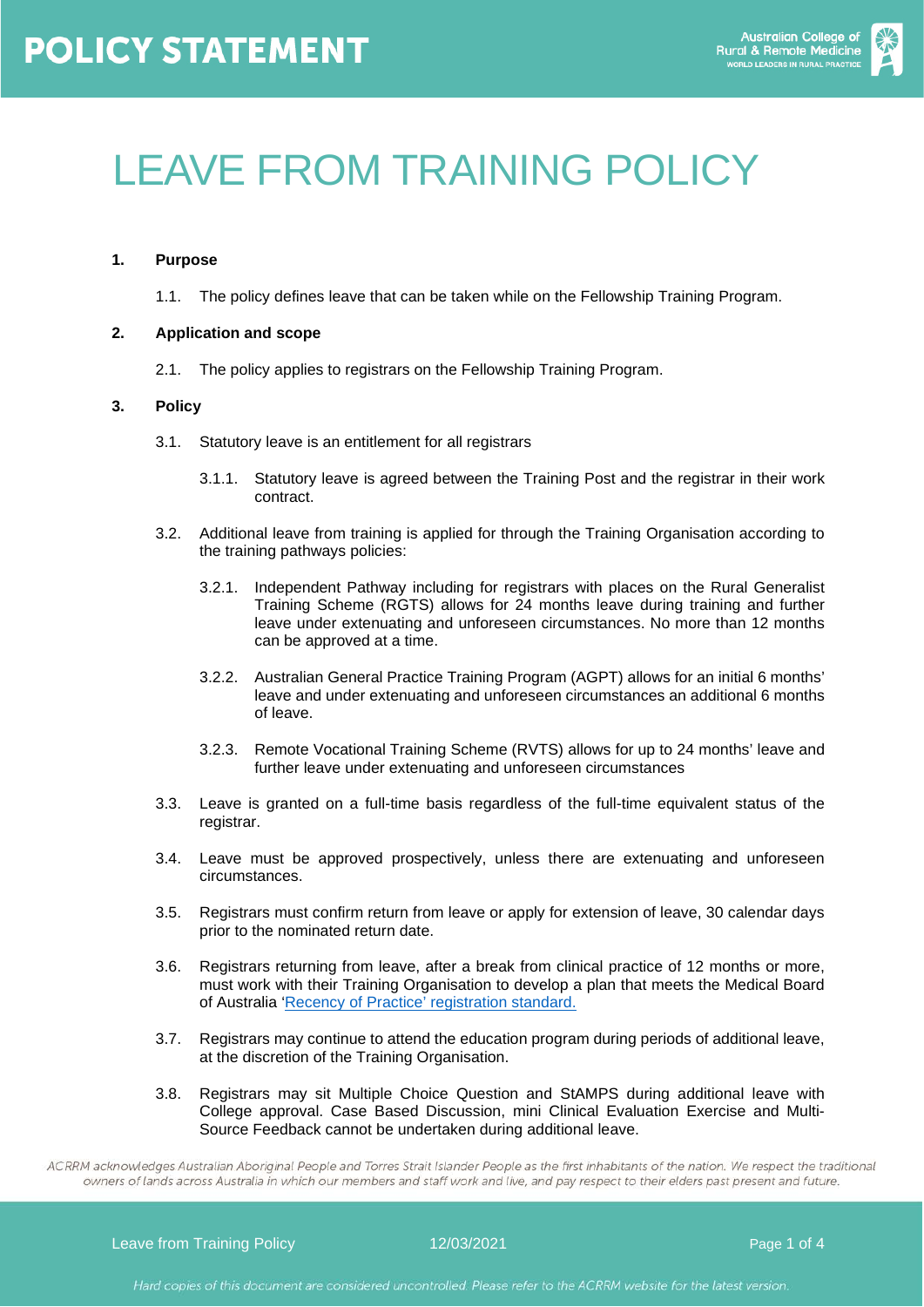

# LEAVE FROM TRAINING POLICY

# **1. Purpose**

1.1. The policy defines leave that can be taken while on the Fellowship Training Program.

# **2. Application and scope**

2.1. The policy applies to registrars on the Fellowship Training Program.

## **3. Policy**

- 3.1. Statutory leave is an entitlement for all registrars
	- 3.1.1. Statutory leave is agreed between the Training Post and the registrar in their work contract.
- 3.2. Additional leave from training is applied for through the Training Organisation according to the training pathways policies:
	- 3.2.1. Independent Pathway including for registrars with places on the Rural Generalist Training Scheme (RGTS) allows for 24 months leave during training and further leave under extenuating and unforeseen circumstances. No more than 12 months can be approved at a time.
	- 3.2.2. Australian General Practice Training Program (AGPT) allows for an initial 6 months' leave and under extenuating and unforeseen circumstances an additional 6 months of leave.
	- 3.2.3. Remote Vocational Training Scheme (RVTS) allows for up to 24 months' leave and further leave under extenuating and unforeseen circumstances
- 3.3. Leave is granted on a full-time basis regardless of the full-time equivalent status of the registrar.
- 3.4. Leave must be approved prospectively, unless there are extenuating and unforeseen circumstances.
- 3.5. Registrars must confirm return from leave or apply for extension of leave, 30 calendar days prior to the nominated return date.
- 3.6. Registrars returning from leave, after a break from clinical practice of 12 months or more, must work with their Training Organisation to develop a plan that meets the Medical Board of Australia ['Recency of Practice' registration standard.](https://www.ahpra.gov.au/Registration/Registration-Standards/Recency-of-practice.aspx)
- 3.7. Registrars may continue to attend the education program during periods of additional leave, at the discretion of the Training Organisation.
- 3.8. Registrars may sit Multiple Choice Question and StAMPS during additional leave with College approval. Case Based Discussion, mini Clinical Evaluation Exercise and Multi-Source Feedback cannot be undertaken during additional leave.

ACRRM acknowledges Australian Aboriginal People and Torres Strait Islander People as the first inhabitants of the nation. We respect the traditional owners of lands across Australia in which our members and staff work and live, and pay respect to their elders past present and future.

Leave from Training Policy **12/03/2021 Page 1 of 4** and 12/03/2021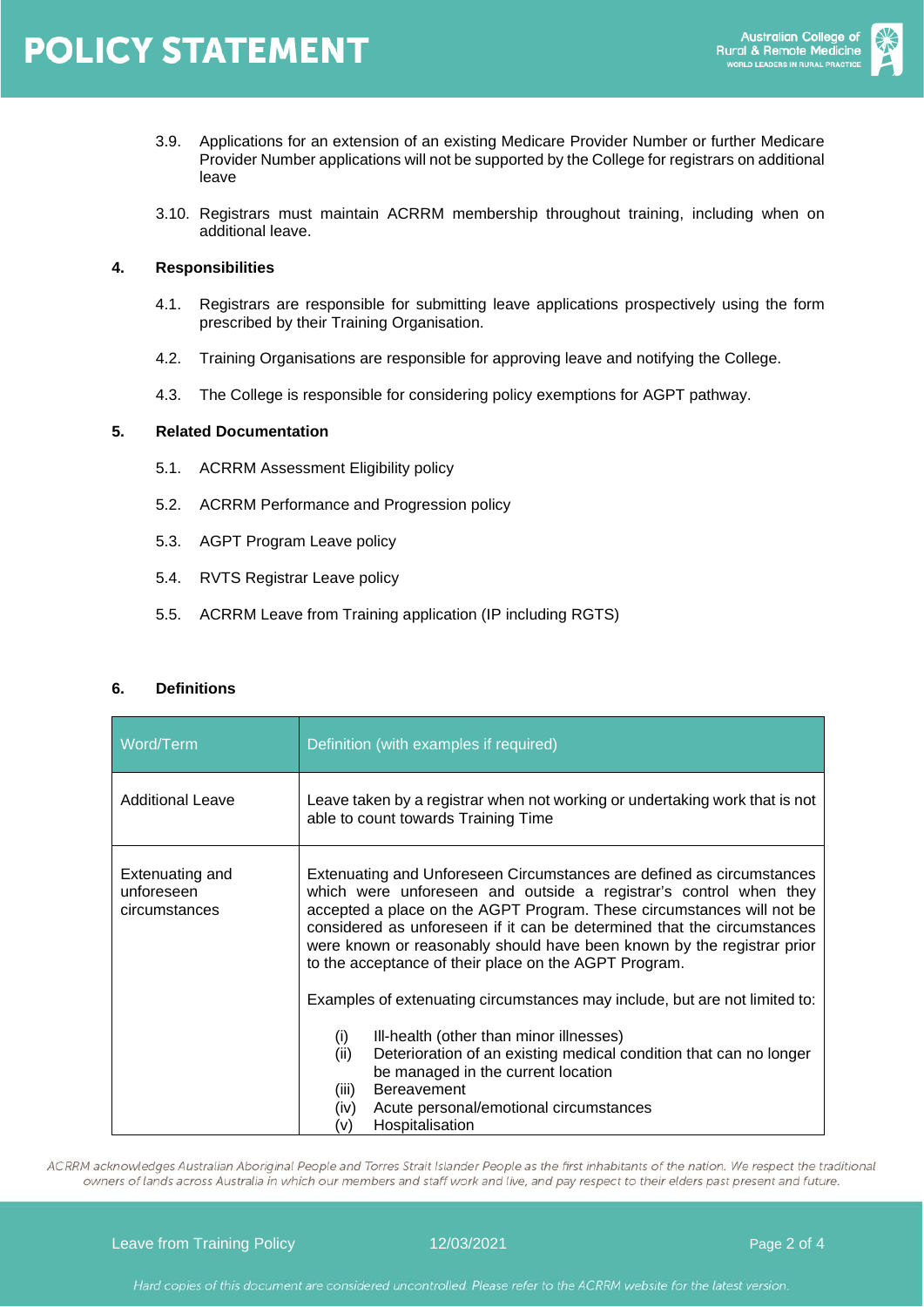

- 3.9. Applications for an extension of an existing Medicare Provider Number or further Medicare Provider Number applications will not be supported by the College for registrars on additional leave
- 3.10. Registrars must maintain ACRRM membership throughout training, including when on additional leave.

# **4. Responsibilities**

- 4.1. Registrars are responsible for submitting leave applications prospectively using the form prescribed by their Training Organisation.
- 4.2. Training Organisations are responsible for approving leave and notifying the College.
- 4.3. The College is responsible for considering policy exemptions for AGPT pathway.

## **5. Related Documentation**

- 5.1. ACRRM Assessment Eligibility policy
- 5.2. ACRRM Performance and Progression policy
- 5.3. AGPT Program Leave policy
- 5.4. RVTS Registrar Leave policy
- 5.5. ACRRM Leave from Training application (IP including RGTS)

#### **6. Definitions**

| Word/Term                                      | Definition (with examples if required)                                                                                                                                                                                                                                                                                                                                                                                            |  |  |  |  |
|------------------------------------------------|-----------------------------------------------------------------------------------------------------------------------------------------------------------------------------------------------------------------------------------------------------------------------------------------------------------------------------------------------------------------------------------------------------------------------------------|--|--|--|--|
| <b>Additional Leave</b>                        | Leave taken by a registrar when not working or undertaking work that is not<br>able to count towards Training Time                                                                                                                                                                                                                                                                                                                |  |  |  |  |
| Extenuating and<br>unforeseen<br>circumstances | Extenuating and Unforeseen Circumstances are defined as circumstances<br>which were unforeseen and outside a registrar's control when they<br>accepted a place on the AGPT Program. These circumstances will not be<br>considered as unforeseen if it can be determined that the circumstances<br>were known or reasonably should have been known by the registrar prior<br>to the acceptance of their place on the AGPT Program. |  |  |  |  |
|                                                | Examples of extenuating circumstances may include, but are not limited to:<br>III-health (other than minor illnesses)<br>(i)<br>(ii)<br>Deterioration of an existing medical condition that can no longer<br>be managed in the current location<br><b>Bereavement</b><br>(iii)<br>Acute personal/emotional circumstances<br>(iv)<br>Hospitalisation<br>(v)                                                                        |  |  |  |  |

ACRRM acknowledges Australian Aboriginal People and Torres Strait Islander People as the first inhabitants of the nation. We respect the traditional owners of lands across Australia in which our members and staff work and live, and pay respect to their elders past present and future.

Leave from Training Policy **12/03/2021 Page 2 of 4**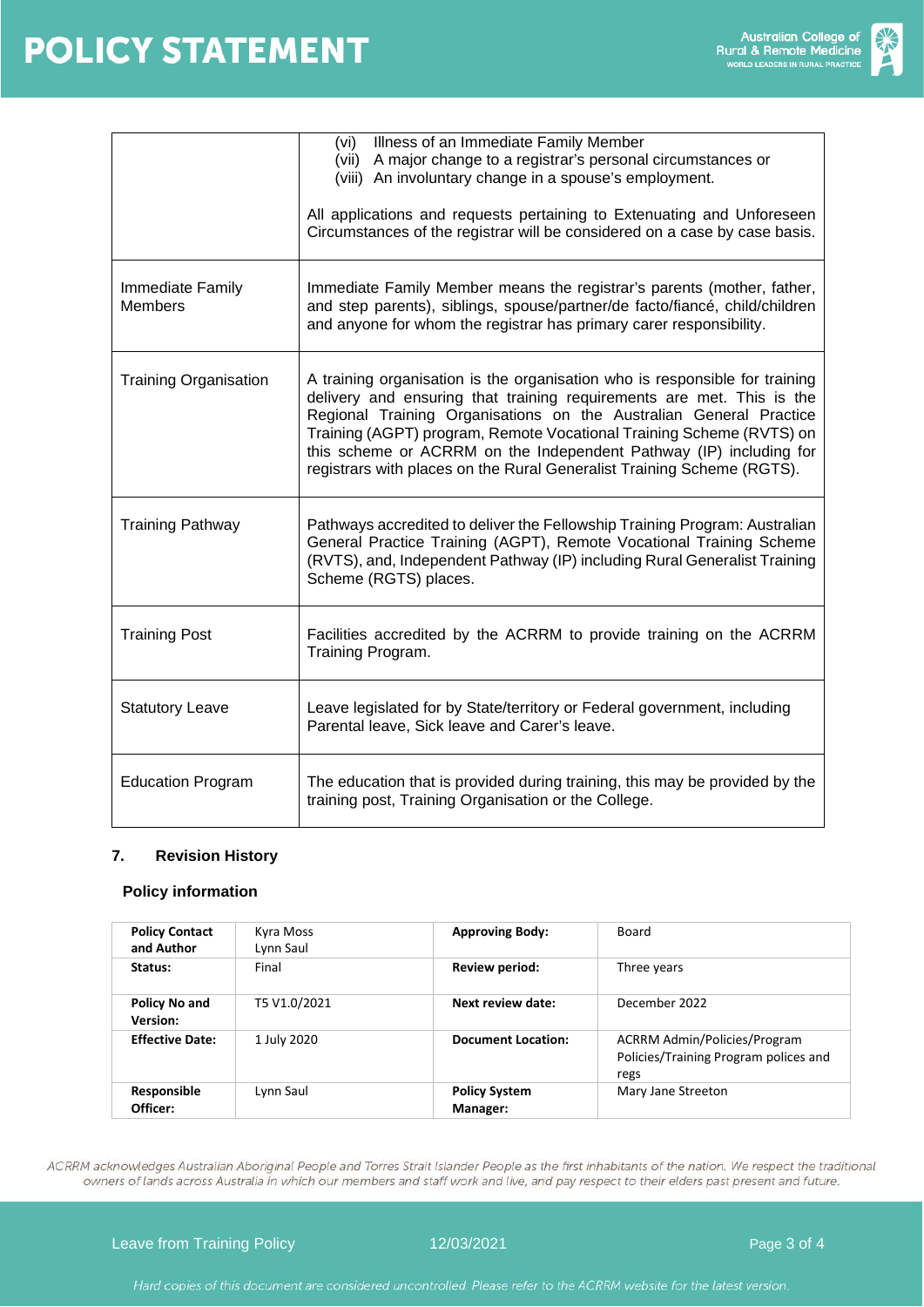

|                              | Illness of an Immediate Family Member<br>(vi)<br>(vii) A major change to a registrar's personal circumstances or<br>(viii) An involuntary change in a spouse's employment.<br>All applications and requests pertaining to Extenuating and Unforeseen<br>Circumstances of the registrar will be considered on a case by case basis.                                                                                                                 |  |  |  |  |
|------------------------------|----------------------------------------------------------------------------------------------------------------------------------------------------------------------------------------------------------------------------------------------------------------------------------------------------------------------------------------------------------------------------------------------------------------------------------------------------|--|--|--|--|
| Immediate Family<br>Members  | Immediate Family Member means the registrar's parents (mother, father,<br>and step parents), siblings, spouse/partner/de facto/fiancé, child/children<br>and anyone for whom the registrar has primary carer responsibility.                                                                                                                                                                                                                       |  |  |  |  |
| <b>Training Organisation</b> | A training organisation is the organisation who is responsible for training<br>delivery and ensuring that training requirements are met. This is the<br>Regional Training Organisations on the Australian General Practice<br>Training (AGPT) program, Remote Vocational Training Scheme (RVTS) on<br>this scheme or ACRRM on the Independent Pathway (IP) including for<br>registrars with places on the Rural Generalist Training Scheme (RGTS). |  |  |  |  |
| <b>Training Pathway</b>      | Pathways accredited to deliver the Fellowship Training Program: Australian<br>General Practice Training (AGPT), Remote Vocational Training Scheme<br>(RVTS), and, Independent Pathway (IP) including Rural Generalist Training<br>Scheme (RGTS) places.                                                                                                                                                                                            |  |  |  |  |
| <b>Training Post</b>         | Facilities accredited by the ACRRM to provide training on the ACRRM<br>Training Program.                                                                                                                                                                                                                                                                                                                                                           |  |  |  |  |
| <b>Statutory Leave</b>       | Leave legislated for by State/territory or Federal government, including<br>Parental leave, Sick leave and Carer's leave.                                                                                                                                                                                                                                                                                                                          |  |  |  |  |
| <b>Education Program</b>     | The education that is provided during training, this may be provided by the<br>training post, Training Organisation or the College.                                                                                                                                                                                                                                                                                                                |  |  |  |  |

# **7. Revision History**

#### **Policy information**

| <b>Policy Contact</b><br>and Author | Kyra Moss<br>Lynn Saul | <b>Approving Body:</b>           | Board                                                                                |
|-------------------------------------|------------------------|----------------------------------|--------------------------------------------------------------------------------------|
| Status:                             | Final                  | Review period:                   | Three years                                                                          |
| Policy No and<br><b>Version:</b>    | T5 V1.0/2021           | Next review date:                | December 2022                                                                        |
| <b>Effective Date:</b>              | 1 July 2020            | <b>Document Location:</b>        | <b>ACRRM Admin/Policies/Program</b><br>Policies/Training Program polices and<br>regs |
| Responsible<br>Officer:             | Lynn Saul              | <b>Policy System</b><br>Manager: | Mary Jane Streeton                                                                   |

ACRRM acknowledges Australian Aboriginal People and Torres Strait Islander People as the first inhabitants of the nation. We respect the traditional owners of lands across Australia in which our members and staff work and live, and pay respect to their elders past present and future.

Leave from Training Policy **12/03/2021 Page 3 of 4**